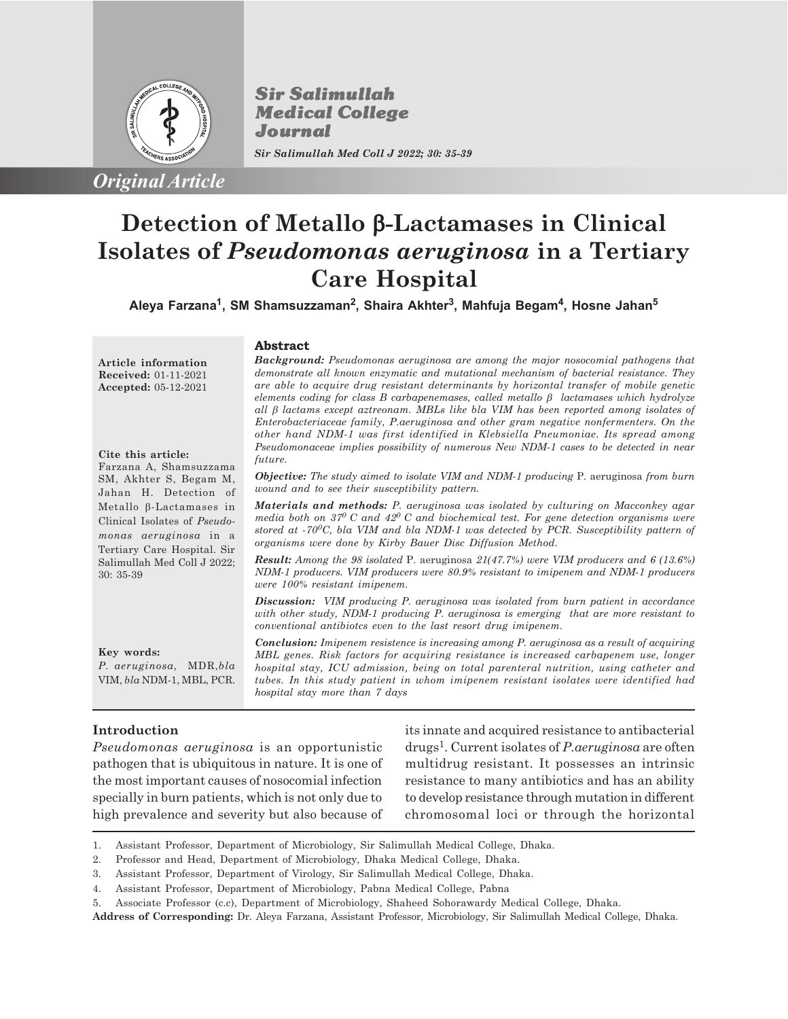

*Original Article*

**Sir Salimullah Medical College** Journal *Sir Salimullah Med Coll J 2022; 30: 35-39*

**Abstract**

# **Detection of Metallo** b**-Lactamases in Clinical Isolates of** *Pseudomonas aeruginosa* **in a Tertiary Care Hospital**

**Aleya Farzana<sup>1</sup> , SM Shamsuzzaman<sup>2</sup> , Shaira Akhter<sup>3</sup> , Mahfuja Begam<sup>4</sup> , Hosne Jahan<sup>5</sup>**

**Article information Received:** 01-11-2021 **Accepted:** 05-12-2021

#### **Cite this article:**

Farzana A, Shamsuzzama SM, Akhter S, Begam M, Jahan H. Detection of Metallo b-Lactamases in Clinical Isolates of *Pseudomonas aeruginosa* in a Tertiary Care Hospital. Sir Salimullah Med Coll J 2022; 30: 35-39

*Background: Pseudomonas aeruginosa are among the major nosocomial pathogens that demonstrate all known enzymatic and mutational mechanism of bacterial resistance. They are able to acquire drug resistant determinants by horizontal transfer of mobile genetic elements coding for class B carbapenemases, called metallo*  $\beta$  *lactamases which hydrolyze all* b *lactams except aztreonam. MBLs like bla VIM has been reported among isolates of Enterobacteriaceae family, P.aeruginosa and other gram negative nonfermenters. On the other hand NDM-1 was first identified in Klebsiella Pneumoniae. Its spread among Pseudomonaceae implies possibility of numerous New NDM-1 cases to be detected in near future.*

*Objective: The study aimed to isolate VIM and NDM-1 producing* P. aeruginosa *from burn wound and to see their susceptibility pattern.*

*Materials and methods: P. aeruginosa was isolated by culturing on Macconkey agar media both on 370 C and 420 C and biochemical test. For gene detection organisms were stored at -700C, bla VIM and bla NDM-1 was detected by PCR. Susceptibility pattern of organisms were done by Kirby Bauer Disc Diffusion Method.*

*Result: Among the 98 isolated* P. aeruginosa *21(47.7%) were VIM producers and 6 (13.6%) NDM-1 producers. VIM producers were 80.9% resistant to imipenem and NDM-1 producers were 100% resistant imipenem.*

*Discussion: VIM producing P. aeruginosa was isolated from burn patient in accordance with other study, NDM-1 producing P. aeruginosa is emerging that are more resistant to conventional antibiotcs even to the last resort drug imipenem.*

**Key words:** *P. aeruginosa*, MDR,*bla* VIM, *bla* NDM-1, MBL, PCR.

*Conclusion: Imipenem resistence is increasing among P. aeruginosa as a result of acquiring MBL genes. Risk factors for acquiring resistance is increased carbapenem use, longer hospital stay, ICU admission, being on total parenteral nutrition, using catheter and tubes. In this study patient in whom imipenem resistant isolates were identified had hospital stay more than 7 days*

## **Introduction**

*Pseudomonas aeruginosa* is an opportunistic pathogen that is ubiquitous in nature. It is one of the most important causes of nosocomial infection specially in burn patients, which is not only due to high prevalence and severity but also because of its innate and acquired resistance to antibacterial drugs<sup>1</sup> . Current isolates of *P.aeruginosa* are often multidrug resistant. It possesses an intrinsic resistance to many antibiotics and has an ability to develop resistance through mutation in different chromosomal loci or through the horizontal

1. Assistant Professor, Department of Microbiology, Sir Salimullah Medical College, Dhaka.

**Address of Corresponding:** Dr. Aleya Farzana, Assistant Professor, Microbiology, Sir Salimullah Medical College, Dhaka.

<sup>2.</sup> Professor and Head, Department of Microbiology, Dhaka Medical College, Dhaka.

<sup>3.</sup> Assistant Professor, Department of Virology, Sir Salimullah Medical College, Dhaka.

<sup>4.</sup> Assistant Professor, Department of Microbiology, Pabna Medical College, Pabna

<sup>5.</sup> Associate Professor (c.c), Department of Microbiology, Shaheed Sohorawardy Medical College, Dhaka.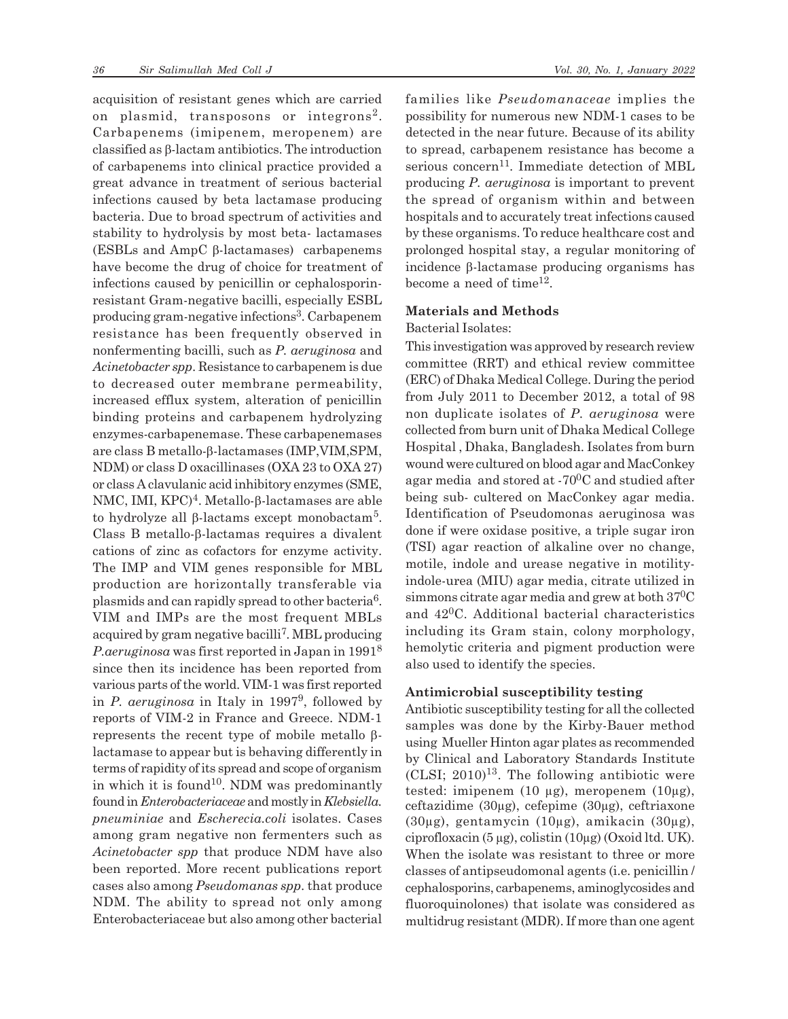acquisition of resistant genes which are carried on plasmid, transposons or integrons<sup>2</sup>. Carbapenems (imipenem, meropenem) are classified as  $\beta$ -lactam antibiotics. The introduction of carbapenems into clinical practice provided a great advance in treatment of serious bacterial infections caused by beta lactamase producing bacteria. Due to broad spectrum of activities and stability to hydrolysis by most beta- lactamases (ESBLs and  $AmpC \beta$ -lactamases) carbapenems have become the drug of choice for treatment of infections caused by penicillin or cephalosporinresistant Gram-negative bacilli, especially ESBL producing gram-negative infections<sup>3</sup>. Carbapenem resistance has been frequently observed in nonfermenting bacilli, such as *P. aeruginosa* and *Acinetobacter spp*. Resistance to carbapenem is due to decreased outer membrane permeability, increased efflux system, alteration of penicillin binding proteins and carbapenem hydrolyzing enzymes-carbapenemase. These carbapenemases are class B metallo- $\beta$ -lactamases (IMP, VIM, SPM, NDM) or class D oxacillinases (OXA 23 to OXA 27) or class A clavulanic acid inhibitory enzymes (SME, NMC, IMI, KPC)<sup>4</sup>. Metallo-β-lactamases are able to hydrolyze all  $\beta$ -lactams except monobactam<sup>5</sup>. Class B metallo- $\beta$ -lactamas requires a divalent cations of zinc as cofactors for enzyme activity. The IMP and VIM genes responsible for MBL production are horizontally transferable via plasmids and can rapidly spread to other bacteria<sup>6</sup>. VIM and IMPs are the most frequent MBLs acquired by gram negative bacilli<sup>7</sup>. MBL producing *P.aeruginosa* was first reported in Japan in 1991<sup>8</sup> since then its incidence has been reported from various parts of the world. VIM-1 was first reported in *P. aeruginosa* in Italy in 1997<sup>9</sup> , followed by reports of VIM-2 in France and Greece. NDM-1 represents the recent type of mobile metallo  $\beta$ lactamase to appear but is behaving differently in terms of rapidity of its spread and scope of organism in which it is found<sup>10</sup>. NDM was predominantly found in *Enterobacteriaceae* and mostly in *Klebsiella. pneuminiae* and *Escherecia.coli* isolates. Cases among gram negative non fermenters such as *Acinetobacter spp* that produce NDM have also been reported. More recent publications report cases also among *Pseudomanas spp*. that produce NDM. The ability to spread not only among Enterobacteriaceae but also among other bacterial families like *Pseudomanaceae* implies the possibility for numerous new NDM-1 cases to be detected in the near future. Because of its ability to spread, carbapenem resistance has become a serious concern<sup>11</sup>. Immediate detection of MBL producing *P. aeruginosa* is important to prevent the spread of organism within and between hospitals and to accurately treat infections caused by these organisms. To reduce healthcare cost and prolonged hospital stay, a regular monitoring of incidence  $\beta$ -lactamase producing organisms has become a need of time<sup>12</sup>.

#### **Materials and Methods**

Bacterial Isolates:

This investigation was approved by research review committee (RRT) and ethical review committee (ERC) of Dhaka Medical College. During the period from July 2011 to December 2012, a total of 98 non duplicate isolates of *P. aeruginosa* were collected from burn unit of Dhaka Medical College Hospital , Dhaka, Bangladesh. Isolates from burn wound were cultured on blood agar and MacConkey agar media and stored at  $-70^0$ C and studied after being sub- cultered on MacConkey agar media. Identification of Pseudomonas aeruginosa was done if were oxidase positive, a triple sugar iron (TSI) agar reaction of alkaline over no change, motile, indole and urease negative in motilityindole-urea (MIU) agar media, citrate utilized in simmons citrate agar media and grew at both  $37^0C$ and 420C. Additional bacterial characteristics including its Gram stain, colony morphology, hemolytic criteria and pigment production were also used to identify the species.

### **Antimicrobial susceptibility testing**

Antibiotic susceptibility testing for all the collected samples was done by the Kirby-Bauer method using Mueller Hinton agar plates as recommended by Clinical and Laboratory Standards Institute  $(CLSI; 2010)^{13}$ . The following antibiotic were tested: imipenem (10  $\mu$ g), meropenem (10 $\mu$ g), ceftazidime (30µg), cefepime (30µg), ceftriaxone (30µg), gentamycin (10µg), amikacin (30µg), ciprofloxacin (5 µg), colistin (10µg) (Oxoid ltd. UK). When the isolate was resistant to three or more classes of antipseudomonal agents (i.e. penicillin / cephalosporins, carbapenems, aminoglycosides and fluoroquinolones) that isolate was considered as multidrug resistant (MDR). If more than one agent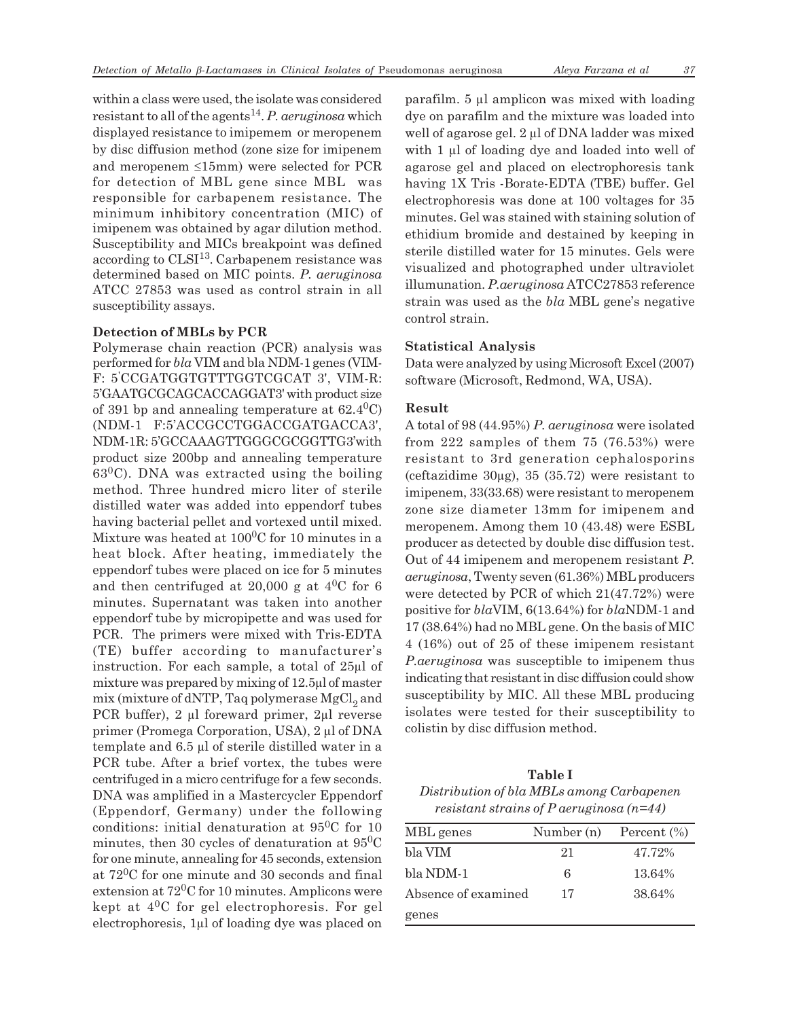within a class were used, the isolate was considered resistant to all of the agents<sup>14</sup>. P. aeruginosa which displayed resistance to imipemem or meropenem by disc diffusion method (zone size for imipenem and meropenem  $\leq 15$ mm) were selected for PCR for detection of MBL gene since MBL was responsible for carbapenem resistance. The minimum inhibitory concentration (MIC) of imipenem was obtained by agar dilution method. Susceptibility and MICs breakpoint was defined according to CLSI<sup>13</sup>. Carbapenem resistance was determined based on MIC points. *P. aeruginosa* ATCC 27853 was used as control strain in all susceptibility assays.

#### **Detection of MBLs by PCR**

Polymerase chain reaction (PCR) analysis was performed for *bla* VIM and bla NDM-1genes (VIM-F: 5'CCGATGGTGTTTGGTCGCAT 3', VIM-R: 5'GAATGCGCAGCACCAGGAT3' with product size of 391 bp and annealing temperature at  $62.4^{\circ}$ C) (NDM-1 F:5'ACCGCCTGGACCGATGACCA3', NDM-1R: 5'GCCAAAGTTGGGCGCGGTTG3'with product size 200bp and annealing temperature  $63^{\circ}$ C). DNA was extracted using the boiling method. Three hundred micro liter of sterile distilled water was added into eppendorf tubes having bacterial pellet and vortexed until mixed. Mixture was heated at  $100^0C$  for 10 minutes in a heat block. After heating, immediately the eppendorf tubes were placed on ice for 5 minutes and then centrifuged at 20,000 g at  $4^{0}C$  for 6 minutes. Supernatant was taken into another eppendorf tube by micropipette and was used for PCR. The primers were mixed with Tris-EDTA (TE) buffer according to manufacturer's instruction. For each sample, a total of 25µl of mixture was prepared by mixing of 12.5µl of master mix (mixture of dNTP, Taq polymerase  $MgCl<sub>2</sub>$  and PCR buffer), 2 µl foreward primer, 2µl reverse primer (Promega Corporation, USA), 2 µl of DNA template and 6.5 µl of sterile distilled water in a PCR tube. After a brief vortex, the tubes were centrifuged in a micro centrifuge for a few seconds. DNA was amplified in a Mastercycler Eppendorf (Eppendorf, Germany) under the following conditions: initial denaturation at 950C for 10 minutes, then 30 cycles of denaturation at  $95^0C$ for one minute, annealing for 45 seconds, extension at 720C for one minute and 30 seconds and final extension at 720C for 10 minutes. Amplicons were kept at 40C for gel electrophoresis. For gel electrophoresis, 1µl of loading dye was placed on parafilm. 5 µl amplicon was mixed with loading dye on parafilm and the mixture was loaded into well of agarose gel. 2 µl of DNA ladder was mixed with 1 µl of loading dye and loaded into well of agarose gel and placed on electrophoresis tank having 1X Tris -Borate-EDTA (TBE) buffer. Gel electrophoresis was done at 100 voltages for 35 minutes. Gel was stained with staining solution of ethidium bromide and destained by keeping in sterile distilled water for 15 minutes. Gels were visualized and photographed under ultraviolet illumunation. *P.aeruginosa* ATCC27853 reference strain was used as the *bla* MBL gene's negative control strain.

#### **Statistical Analysis**

Data were analyzed by using Microsoft Excel (2007) software (Microsoft, Redmond, WA, USA).

#### **Result**

A total of 98 (44.95%) *P. aeruginosa* were isolated from 222 samples of them 75 (76.53%) were resistant to 3rd generation cephalosporins (ceftazidime  $30\mu$ g),  $35(35.72)$  were resistant to imipenem, 33(33.68) were resistant to meropenem zone size diameter 13mm for imipenem and meropenem. Among them 10 (43.48) were ESBL producer as detected by double disc diffusion test. Out of 44 imipenem and meropenem resistant *P. aeruginosa*, Twenty seven (61.36%) MBL producers were detected by PCR of which 21(47.72%) were positive for *bla*VIM, 6(13.64%) for *bla*NDM-1 and 17 (38.64%) had no MBL gene. On the basis of MIC 4 (16%) out of 25 of these imipenem resistant *P.aeruginosa* was susceptible to imipenem thus indicating that resistant in disc diffusion could show susceptibility by MIC. All these MBL producing isolates were tested for their susceptibility to colistin by disc diffusion method.

**Table I** *Distribution of bla MBLs among Carbapenen resistant strains of P aeruginosa (n=44)*

| MBL genes           | Number (n) | Percent $(\% )$ |
|---------------------|------------|-----------------|
| bla VIM             | 21         | 47.72%          |
| bla NDM-1           | 6          | 13.64%          |
| Absence of examined | 17         | 38.64%          |
| genes               |            |                 |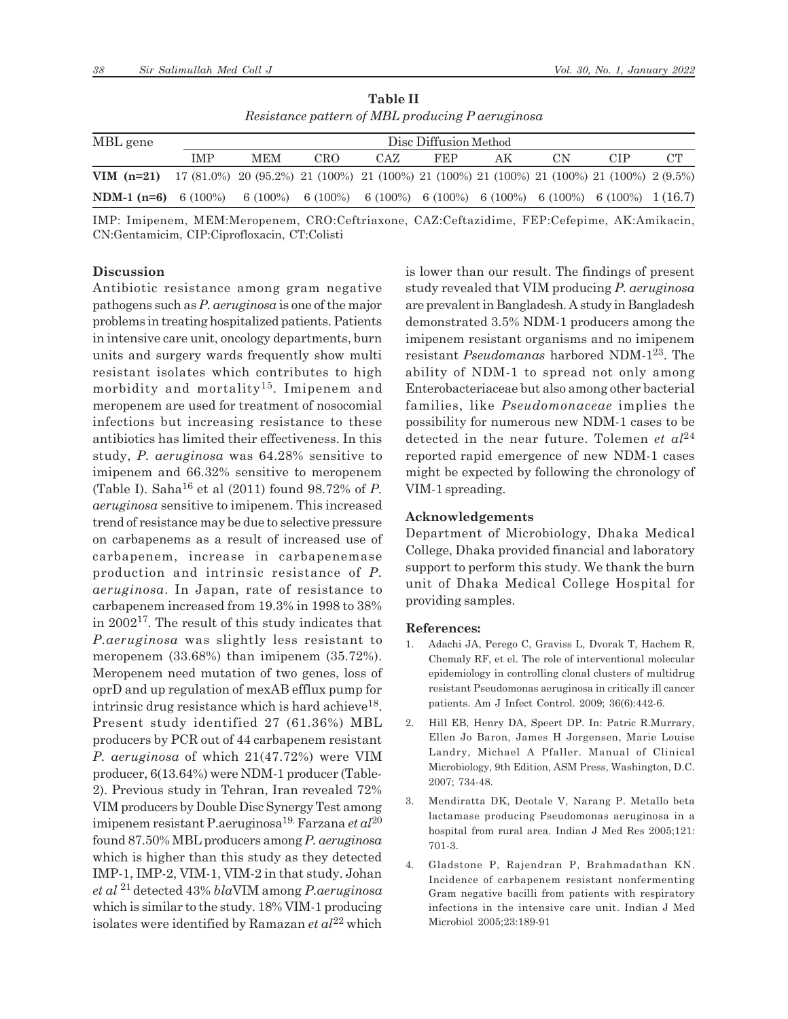| Treororance panel n of mDD producing I acruginosa                                                              |            |                                                                         |     |                       |            |    |    |     |    |  |  |
|----------------------------------------------------------------------------------------------------------------|------------|-------------------------------------------------------------------------|-----|-----------------------|------------|----|----|-----|----|--|--|
| MBL gene                                                                                                       |            |                                                                         |     | Disc Diffusion Method |            |    |    |     |    |  |  |
|                                                                                                                | <b>IMP</b> | <b>MEM</b>                                                              | CRO | CAZ                   | <b>FEP</b> | AΚ | СN | CIP | CТ |  |  |
| <b>VIM</b> $(n=21)$ 17 (81.0%) 20 (95.2%) 21 (100%) 21 (100%) 21 (100%) 21 (100%) 21 (100%) 21 (100%) 2 (9.5%) |            |                                                                         |     |                       |            |    |    |     |    |  |  |
| <b>NDM-1 (n=6)</b> 6 (100%)                                                                                    |            | 6 (100%) 6 (100%) 6 (100%) 6 (100%) 6 (100%) 6 (100%) 6 (100%) 1 (16.7) |     |                       |            |    |    |     |    |  |  |

**Table II** *Resistance pattern of MBL producing P aeruginosa*

IMP: Imipenem, MEM:Meropenem, CRO:Ceftriaxone, CAZ:Ceftazidime, FEP:Cefepime, AK:Amikacin, CN:Gentamicim, CIP:Ciprofloxacin, CT:Colisti

#### **Discussion**

Antibiotic resistance among gram negative pathogens such as *P. aeruginosa* is one of the major problems in treating hospitalized patients. Patients in intensive care unit, oncology departments, burn units and surgery wards frequently show multi resistant isolates which contributes to high morbidity and mortality<sup>15</sup>. Imipenem and meropenem are used for treatment of nosocomial infections but increasing resistance to these antibiotics has limited their effectiveness. In this study, *P. aeruginosa* was 64.28% sensitive to imipenem and 66.32% sensitive to meropenem (Table I). Saha16 et al (2011) found 98.72% of *P. aeruginosa* sensitive to imipenem. This increased trend of resistance may be due to selective pressure on carbapenems as a result of increased use of carbapenem, increase in carbapenemase production and intrinsic resistance of *P. aeruginosa*. In Japan, rate of resistance to carbapenem increased from 19.3% in 1998 to 38% in 200217. The result of this study indicates that *P.aeruginosa* was slightly less resistant to meropenem (33.68%) than imipenem (35.72%). Meropenem need mutation of two genes, loss of oprD and up regulation of mexAB efflux pump for intrinsic drug resistance which is hard achieve<sup>18</sup>. Present study identified 27 (61.36%) MBL producers by PCR out of 44 carbapenem resistant *P. aeruginosa* of which 21(47.72%) were VIM producer, 6(13.64%) were NDM-1 producer (Table-2). Previous study in Tehran, Iran revealed 72% VIM producers by Double Disc Synergy Test among imipenem resistant P.aeruginosa19. Farzana *et al*<sup>20</sup> found 87.50% MBL producers among *P. aeruginosa* which is higher than this study as they detected IMP-1, IMP-2, VIM-1, VIM-2 in that study. Johan *et al* <sup>21</sup>detected 43% *bla*VIM among *P.aeruginosa* which is similar to the study. 18% VIM-1 producing isolates were identified by Ramazan *et al*22 which

is lower than our result. The findings of present study revealed that VIM producing *P. aeruginosa* are prevalent in Bangladesh. A study in Bangladesh demonstrated 3.5% NDM-1 producers among the imipenem resistant organisms and no imipenem resistant *Pseudomanas* harbored NDM-123. The ability of NDM-1 to spread not only among Enterobacteriaceae but also among other bacterial families, like *Pseudomonaceae* implies the possibility for numerous new NDM-1 cases to be detected in the near future. Tolemen *et al*<sup>24</sup> reported rapid emergence of new NDM-1 cases might be expected by following the chronology of VIM-1 spreading.

## **Acknowledgements**

Department of Microbiology, Dhaka Medical College, Dhaka provided financial and laboratory support to perform this study. We thank the burn unit of Dhaka Medical College Hospital for providing samples.

#### **References:**

- 1. Adachi JA, Perego C, Graviss L, Dvorak T, Hachem R, Chemaly RF, et el. The role of interventional molecular epidemiology in controlling clonal clusters of multidrug resistant Pseudomonas aeruginosa in critically ill cancer patients. Am J Infect Control. 2009; 36(6):442-6.
- 2. Hill EB, Henry DA, Speert DP. In: Patric R.Murrary, Ellen Jo Baron, James H Jorgensen, Marie Louise Landry, Michael A Pfaller. Manual of Clinical Microbiology, 9th Edition, ASM Press, Washington, D.C. 2007; 734-48.
- 3. Mendiratta DK, Deotale V, Narang P. Metallo beta lactamase producing Pseudomonas aeruginosa in a hospital from rural area. Indian J Med Res 2005;121: 701-3.
- 4. Gladstone P, Rajendran P, Brahmadathan KN. Incidence of carbapenem resistant nonfermenting Gram negative bacilli from patients with respiratory infections in the intensive care unit. Indian J Med Microbiol 2005;23:189-91